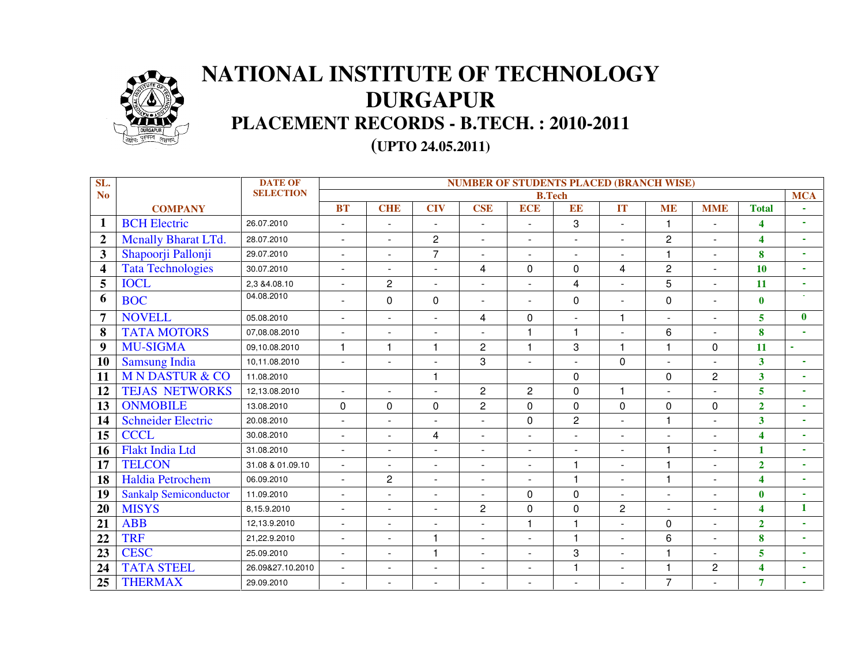

## **NATIONAL INSTITUTE OF TECHNOLOGYDURGAPUR PLACEMENT RECORDS - B.TECH. : 2010-2011**

**(UPTO 24.05.2011)** 

| SL.                     |                              | <b>DATE OF</b>   | <b>NUMBER OF STUDENTS PLACED (BRANCH WISE)</b> |                |                          |                          |                |                |                |                |                |                         |                          |
|-------------------------|------------------------------|------------------|------------------------------------------------|----------------|--------------------------|--------------------------|----------------|----------------|----------------|----------------|----------------|-------------------------|--------------------------|
| N <sub>o</sub>          |                              | <b>SELECTION</b> |                                                |                |                          |                          | <b>B.Tech</b>  |                |                |                |                |                         | <b>MCA</b>               |
|                         | <b>COMPANY</b>               |                  | <b>BT</b>                                      | <b>CHE</b>     | <b>CIV</b>               | <b>CSE</b>               | <b>ECE</b>     | EE             | <b>IT</b>      | <b>ME</b>      | <b>MME</b>     | <b>Total</b>            |                          |
| $\mathbf{1}$            | <b>BCH</b> Electric          | 26.07.2010       |                                                |                | $\blacksquare$           |                          |                | 3              | $\sim$         | 1              |                | 4                       |                          |
| $\overline{2}$          | <b>Mcnally Bharat LTd.</b>   | 28.07.2010       | $\sim$                                         | $\blacksquare$ | $\overline{2}$           | $\sim$                   |                | $\sim$         | $\sim$         | $\overline{2}$ | $\blacksquare$ | 4                       | $\blacksquare$           |
| 3                       | Shapoorji Pallonji           | 29.07.2010       | $\overline{\phantom{a}}$                       | $\blacksquare$ | $\overline{7}$           | $\blacksquare$           | $\blacksquare$ | $\blacksquare$ | ÷,             |                |                | 8                       | $\overline{\phantom{0}}$ |
| $\overline{\mathbf{4}}$ | <b>Tata Technologies</b>     | 30.07.2010       |                                                | $\blacksquare$ | $\mathbf{r}$             | 4                        | $\mathbf 0$    | $\mathbf 0$    | 4              | $\overline{c}$ |                | 10                      | $\overline{\phantom{a}}$ |
| 5                       | <b>IOCL</b>                  | 2,3 & 4.08.10    | $\mathbf{r}$                                   | $\overline{2}$ | $\overline{\phantom{a}}$ | $\blacksquare$           |                | 4              | ä,             | 5              | $\blacksquare$ | 11                      |                          |
| 6                       | <b>BOC</b>                   | 04.08.2010       |                                                | $\mathbf 0$    | $\Omega$                 |                          |                | 0              | $\sim$         | $\Omega$       | $\blacksquare$ | $\mathbf{0}$            |                          |
| $\overline{7}$          | <b>NOVELL</b>                | 05.08.2010       | $\mathbf{r}$                                   | $\blacksquare$ | $\overline{a}$           | 4                        | $\Omega$       | $\overline{a}$ | $\mathbf{1}$   |                | $\sim$         | 5                       | $\mathbf{0}$             |
| 8                       | <b>TATA MOTORS</b>           | 07,08.08.2010    | $\mathbf{r}$                                   | $\blacksquare$ |                          |                          | 1              | $\overline{1}$ | $\overline{a}$ | 6              | $\blacksquare$ | 8                       |                          |
| 9                       | <b>MU-SIGMA</b>              | 09,10.08.2010    | $\mathbf{1}$                                   | $\mathbf{1}$   | $\mathbf{1}$             | $\overline{c}$           | 1              | 3              | $\mathbf{1}$   | 1              | $\pmb{0}$      | 11                      |                          |
| 10                      | <b>Samsung India</b>         | 10,11.08.2010    | $\overline{a}$                                 | $\blacksquare$ | $\overline{a}$           | 3                        |                | $\sim$         | $\mathbf 0$    |                | $\sim$         | $\overline{\mathbf{3}}$ | $\overline{\phantom{a}}$ |
| 11                      | <b>M N DASTUR &amp; CO</b>   | 11.08.2010       |                                                |                | $\overline{1}$           |                          |                | $\Omega$       |                | $\Omega$       | $\overline{2}$ | $\mathbf{3}$            | $\overline{\phantom{a}}$ |
| 12                      | <b>TEJAS NETWORKS</b>        | 12,13.08.2010    |                                                |                |                          | $\overline{c}$           | 2              | $\mathbf 0$    | $\mathbf{1}$   |                |                | 5                       | ٠                        |
| 13                      | <b>ONMOBILE</b>              | 13.08.2010       | 0                                              | 0              | $\Omega$                 | $\overline{2}$           | $\Omega$       | $\mathbf 0$    | 0              | $\Omega$       | 0              | $\overline{2}$          | $\overline{\phantom{a}}$ |
| 14                      | <b>Schneider Electric</b>    | 20.08.2010       |                                                | $\blacksquare$ |                          |                          | $\Omega$       | $\overline{2}$ | ÷.             | 1              |                | $\overline{\mathbf{3}}$ | $\overline{\phantom{a}}$ |
| 15                      | <b>CCCL</b>                  | 30.08.2010       | ÷.                                             | $\sim$         | 4                        | $\overline{a}$           |                | $\overline{a}$ | ÷.             |                | $\sim$         | $\overline{\mathbf{4}}$ |                          |
| <b>16</b>               | <b>Flakt India Ltd</b>       | 31.08.2010       | $\sim$                                         | $\blacksquare$ | $\overline{a}$           | $\sim$                   |                | L,             | $\overline{a}$ | 1              |                | $\mathbf{1}$            |                          |
| 17                      | <b>TELCON</b>                | 31.08 & 01.09.10 |                                                | $\blacksquare$ |                          | $\sim$                   |                | $\overline{1}$ | L,             | 1              |                | $\overline{2}$          |                          |
| 18                      | Haldia Petrochem             | 06.09.2010       | ÷.                                             | $\overline{c}$ | $\overline{a}$           | $\sim$                   |                | $\overline{1}$ | $\mathbf{r}$   | 1              | $\sim$         | $\overline{\mathbf{4}}$ | $\overline{\phantom{a}}$ |
| 19                      | <b>Sankalp Semiconductor</b> | 11.09.2010       | ÷.                                             | $\sim$         | ÷                        | $\sim$                   | $\Omega$       | $\Omega$       | $\overline{a}$ | $\sim$         |                | $\bf{0}$                | $\overline{\phantom{a}}$ |
| 20                      | <b>MISYS</b>                 | 8,15.9.2010      |                                                | $\sim$         | L,                       | $\overline{c}$           | 0              | $\mathbf 0$    | $\overline{c}$ |                |                | $\overline{\mathbf{4}}$ | $\mathbf{1}$             |
| 21                      | <b>ABB</b>                   | 12,13.9.2010     | ÷.                                             | $\blacksquare$ | $\overline{a}$           | $\sim$                   | 1              | $\overline{1}$ | $\blacksquare$ | $\Omega$       | $\sim$         | $\overline{2}$          | $\overline{\phantom{a}}$ |
| 22                      | <b>TRF</b>                   | 21,22.9.2010     | $\sim$                                         | $\blacksquare$ |                          | $\blacksquare$           |                | $\overline{1}$ | ÷,             | 6              |                | $\bf{8}$                | ٠                        |
| 23                      | <b>CESC</b>                  | 25.09.2010       |                                                | $\blacksquare$ | $\overline{\mathbf{1}}$  |                          |                | 3              | ÷,             |                |                | 5                       |                          |
| 24                      | <b>TATA STEEL</b>            | 26.09&27.10.2010 | $\blacksquare$                                 | $\blacksquare$ | $\blacksquare$           | $\overline{\phantom{a}}$ |                | $\overline{1}$ | $\blacksquare$ | 1              | $\overline{c}$ | 4                       | $\blacksquare$           |
| 25                      | <b>THERMAX</b>               | 29.09.2010       |                                                |                |                          |                          |                | ÷,             |                | $\overline{7}$ |                | $\overline{7}$          |                          |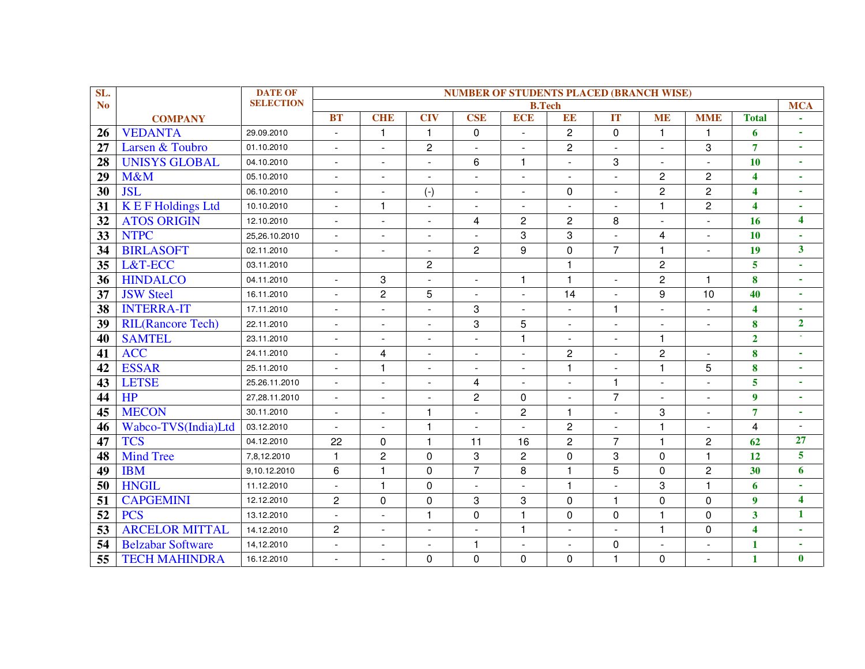| SL.            |                          | <b>DATE OF</b>   | <b>NUMBER OF STUDENTS PLACED (BRANCH WISE)</b> |                          |                          |                      |                |                |                          |                          |                          |                         |                         |
|----------------|--------------------------|------------------|------------------------------------------------|--------------------------|--------------------------|----------------------|----------------|----------------|--------------------------|--------------------------|--------------------------|-------------------------|-------------------------|
| N <sub>o</sub> |                          | <b>SELECTION</b> |                                                |                          |                          |                      | <b>B.Tech</b>  |                |                          |                          |                          |                         | <b>MCA</b>              |
|                | <b>COMPANY</b>           |                  | <b>BT</b>                                      | <b>CHE</b>               | <b>CIV</b>               | <b>CSE</b>           | <b>ECE</b>     | EE             | IT                       | <b>ME</b>                | <b>MME</b>               | <b>Total</b>            |                         |
| 26             | <b>VEDANTA</b>           | 29.09.2010       | $\blacksquare$                                 | $\mathbf{1}$             | $\mathbf{1}$             | 0                    | $\blacksquare$ | $\overline{c}$ | 0                        | $\mathbf{1}$             | 1                        | 6                       | $\blacksquare$          |
| 27             | Larsen & Toubro          | 01.10.2010       | $\blacksquare$                                 | ÷,                       | $\overline{c}$           | $\blacksquare$       | ÷,             | $\overline{2}$ | $\overline{a}$           | $\blacksquare$           | 3                        | $\overline{7}$          | $\mathbf{r}$            |
| 28             | <b>UNISYS GLOBAL</b>     | 04.10.2010       | $\overline{a}$                                 |                          | ÷.                       | 6                    | 1              |                | 3                        | $\overline{a}$           |                          | 10                      | ÷.                      |
| 29             | M&M                      | 05.10.2010       | $\blacksquare$                                 | $\overline{\phantom{a}}$ | $\blacksquare$           | $\overline{a}$       | $\blacksquare$ | $\blacksquare$ | $\overline{\phantom{a}}$ | $\overline{2}$           | $\overline{c}$           | $\overline{\mathbf{4}}$ | $\mathbf{r}$            |
| 30             | <b>JSL</b>               | 06.10.2010       | $\mathbf{r}$                                   | ÷                        | $(-)$                    | $\overline{a}$       | $\blacksquare$ | $\Omega$       | $\sim$                   | $\overline{2}$           | $\overline{2}$           | $\overline{\mathbf{4}}$ | $\blacksquare$          |
| 31             | <b>KEF Holdings Ltd</b>  | 10.10.2010       | ÷.                                             | $\mathbf{1}$             | $\sim$                   |                      | ä,             |                |                          | $\mathbf{1}$             | $\overline{2}$           | $\overline{\mathbf{4}}$ | $\blacksquare$          |
| 32             | <b>ATOS ORIGIN</b>       | 12.10.2010       |                                                | $\overline{\phantom{a}}$ | $\overline{a}$           | 4                    | $\overline{c}$ | $\overline{c}$ | 8                        | $\blacksquare$           |                          | 16                      | $\overline{\mathbf{4}}$ |
| 33             | <b>NTPC</b>              | 25,26.10.2010    | $\sim$                                         | ٠                        | $\sim$                   |                      | 3              | 3              |                          | 4                        | $\overline{a}$           | 10                      | $\blacksquare$          |
| 34             | <b>BIRLASOFT</b>         | 02.11.2010       | $\mathbf{r}$                                   | $\blacksquare$           | $\blacksquare$           | $\overline{c}$       | 9              | $\Omega$       | $\overline{7}$           | $\mathbf{1}$             | $\mathbf{r}$             | 19                      | $\overline{\mathbf{3}}$ |
| 35             | L&T-ECC                  | 03.11.2010       |                                                |                          | $\overline{c}$           |                      |                | 1              |                          | $\overline{c}$           |                          | 5                       | ÷.                      |
| 36             | <b>HINDALCO</b>          | 04.11.2010       | $\blacksquare$                                 | 3                        | $\sim$                   | $\blacksquare$       | 1              | 1              | $\blacksquare$           | $\overline{2}$           | 1                        | 8                       | $\blacksquare$          |
| 37             | <b>JSW Steel</b>         | 16.11.2010       | $\mathbf{r}$                                   | $\overline{c}$           | 5                        | $\blacksquare$       | $\blacksquare$ | 14             | $\overline{a}$           | 9                        | 10                       | 40                      | $\blacksquare$          |
| 38             | <b>INTERRA-IT</b>        | 17.11.2010       | $\overline{\phantom{0}}$                       |                          |                          | 3                    | $\blacksquare$ |                | $\mathbf{1}$             | $\blacksquare$           |                          | $\overline{\mathbf{4}}$ |                         |
| 39             | <b>RIL(Rancore Tech)</b> | 22.11.2010       | $\blacksquare$                                 | $\overline{\phantom{a}}$ | $\blacksquare$           | 3                    | 5              | $\blacksquare$ | $\overline{a}$           | $\overline{\phantom{a}}$ | $\blacksquare$           | 8                       | $\overline{2}$          |
| 40             | <b>SAMTEL</b>            | 23.11.2010       | $\equiv$                                       | ÷,                       | $\blacksquare$           | ÷,                   | $\mathbf{1}$   | $\sim$         | $\overline{\phantom{a}}$ | $\mathbf{1}$             |                          | $\overline{2}$          | $\sim$                  |
| 41             | <b>ACC</b>               | 24.11.2010       | $\sim$                                         | 4                        | $\sim$                   | $\overline{a}$       | $\mathbf{r}$   | $\overline{c}$ | $\overline{a}$           | $\overline{2}$           |                          | 8                       | $\mathbf{r}$            |
| 42             | <b>ESSAR</b>             | 25.11.2010       |                                                | 1                        | $\overline{\phantom{a}}$ | $\blacksquare$       | $\blacksquare$ | 1              |                          | $\mathbf{1}$             | 5                        | 8                       | $\blacksquare$          |
| 43             | <b>LETSE</b>             | 25.26.11.2010    | $\blacksquare$                                 | $\overline{a}$           | $\blacksquare$           | 4                    | $\overline{a}$ | $\sim$         | 1                        | $\blacksquare$           | $\overline{\phantom{a}}$ | 5                       | $\blacksquare$          |
| 44             | HP                       | 27,28.11.2010    | $\blacksquare$                                 | ÷,                       | $\blacksquare$           | $\overline{c}$       | 0              | $\blacksquare$ | $\overline{7}$           | $\blacksquare$           | $\blacksquare$           | $\boldsymbol{9}$        | $\mathbf{r}$            |
| 45             | <b>MECON</b>             | 30.11.2010       | $\overline{a}$                                 |                          | $\mathbf{1}$             |                      | $\overline{c}$ | $\mathbf{1}$   |                          | 3                        |                          | $\overline{7}$          | ÷.                      |
| 46             | Wabco-TVS(India)Ltd      | 03.12.2010       | $\blacksquare$                                 | $\blacksquare$           | $\mathbf{1}$             | $\ddot{\phantom{1}}$ | $\overline{a}$ | $\overline{c}$ | $\blacksquare$           | $\mathbf{1}$             | $\sim$                   | 4                       | $\overline{a}$          |
| 47             | <b>TCS</b>               | 04.12.2010       | 22                                             | 0                        | $\mathbf{1}$             | 11                   | 16             | $\overline{2}$ | $\overline{7}$           | $\mathbf{1}$             | $\overline{2}$           | 62                      | 27                      |
| 48             | <b>Mind Tree</b>         | 7,8,12.2010      | $\mathbf{1}$                                   | $\overline{2}$           | $\mathbf 0$              | 3                    | $\overline{c}$ | $\Omega$       | 3                        | $\Omega$                 | $\mathbf{1}$             | 12                      | $\overline{\mathbf{5}}$ |
| 49             | <b>IBM</b>               | 9,10.12.2010     | $6\phantom{1}$                                 |                          | 0                        | $\overline{7}$       | 8              | 1              | 5                        | 0                        | $\overline{c}$           | 30                      | $\boldsymbol{6}$        |
| 50             | <b>HNGIL</b>             | 11.12.2010       | $\sim$                                         | 1                        | 0                        | $\overline{a}$       | $\overline{a}$ | $\mathbf{1}$   |                          | 3                        | 1                        | 6                       | $\blacksquare$          |
| 51             | <b>CAPGEMINI</b>         | 12.12.2010       | $\overline{2}$                                 | $\mathbf 0$              | $\mathbf 0$              | 3                    | 3              | 0              | $\mathbf{1}$             | $\mathbf 0$              | 0                        | $\overline{9}$          | $\overline{\mathbf{4}}$ |
| 52             | <b>PCS</b>               | 13.12.2010       |                                                |                          | $\mathbf 1$              | 0                    | $\mathbf{1}$   | $\Omega$       | $\Omega$                 | $\mathbf{1}$             | $\Omega$                 | $\overline{\mathbf{3}}$ | $\mathbf{1}$            |
| 53             | <b>ARCELOR MITTAL</b>    | 14.12.2010       | $\overline{2}$                                 | $\overline{a}$           | $\sim$                   | $\overline{a}$       | $\mathbf{1}$   | ÷.             |                          | $\mathbf{1}$             | $\Omega$                 | $\overline{\mathbf{4}}$ | $\blacksquare$          |
| 54             | <b>Belzabar Software</b> | 14,12.2010       | ÷.                                             | ÷,                       | $\blacksquare$           | 1                    | $\blacksquare$ |                | $\Omega$                 | $\overline{a}$           | $\overline{\phantom{a}}$ | $\mathbf{1}$            | $\blacksquare$          |
| 55             | <b>TECH MAHINDRA</b>     | 16.12.2010       | $\blacksquare$                                 |                          | $\Omega$                 | $\Omega$             | 0              | $\Omega$       | 1                        | 0                        |                          | $\mathbf{1}$            | $\bf{0}$                |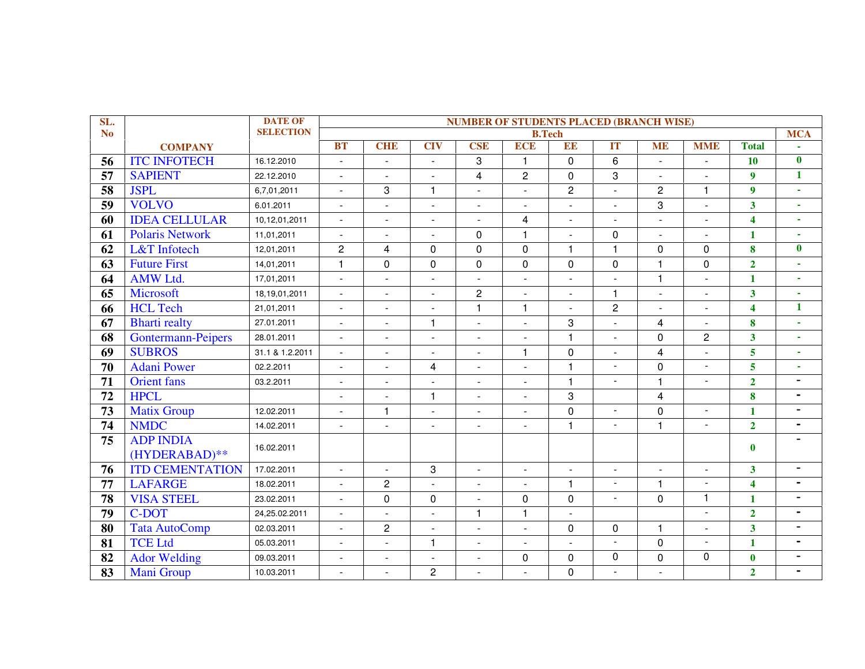| SL.                        |                           | <b>DATE OF</b>   | <b>NUMBER OF STUDENTS PLACED (BRANCH WISE)</b> |                |                          |                |                         |                |                          |                |                |                         |                             |
|----------------------------|---------------------------|------------------|------------------------------------------------|----------------|--------------------------|----------------|-------------------------|----------------|--------------------------|----------------|----------------|-------------------------|-----------------------------|
| <b>No</b>                  |                           | <b>SELECTION</b> |                                                |                |                          |                | <b>B.Tech</b>           |                |                          |                |                |                         | <b>MCA</b>                  |
|                            | <b>COMPANY</b>            |                  | <b>BT</b>                                      | <b>CHE</b>     | <b>CIV</b>               | <b>CSE</b>     | <b>ECE</b>              | EE             | IT                       | <b>ME</b>      | <b>MME</b>     | <b>Total</b>            |                             |
| 56                         | <b>ITC INFOTECH</b>       | 16.12.2010       | $\blacksquare$                                 | $\blacksquare$ | $\blacksquare$           | 3              | $\mathbf{1}$            | 0              | $6\phantom{1}$           | $\blacksquare$ | $\sim$         | <b>10</b>               | $\bf{0}$                    |
| 57                         | <b>SAPIENT</b>            | 22.12.2010       | $\overline{a}$                                 | $\sim$         | $\overline{a}$           | $\overline{4}$ | $\overline{c}$          | $\mathbf 0$    | 3                        | $\mathbf{r}$   | ÷,             | $\boldsymbol{9}$        | $\mathbf{1}$                |
| 58                         | <b>JSPL</b>               | 6,7,01,2011      | $\blacksquare$                                 | 3              | $\mathbf{1}$             | $\blacksquare$ | $\blacksquare$          | $\mathbf{2}$   | ÷,                       | $\overline{c}$ | $\overline{1}$ | $\boldsymbol{9}$        | $\sim$                      |
| 59                         | <b>VOLVO</b>              | 6.01.2011        | $\overline{a}$                                 | $\blacksquare$ | $\overline{a}$           | $\overline{a}$ | $\sim$                  | ÷              | ÷,                       | 3              | ÷.             | $\overline{\mathbf{3}}$ | $\mathbf{r}$                |
| 60                         | <b>IDEA CELLULAR</b>      | 10,12,01,2011    | $\overline{a}$                                 | $\sim$         | $\mathbf{r}$             | ÷.             | $\overline{\mathbf{4}}$ | ÷.             | $\overline{a}$           | $\blacksquare$ | $\overline{a}$ | $\overline{\mathbf{4}}$ | $\mathcal{L}_{\mathcal{A}}$ |
| 61                         | <b>Polaris Network</b>    | 11,01,2011       | $\blacksquare$                                 | $\blacksquare$ | $\overline{a}$           | $\mathbf 0$    | $\mathbf{1}$            | ÷              | $\mathbf 0$              | $\blacksquare$ | $\sim$         | $\mathbf{1}$            | $\overline{\phantom{a}}$    |
| 62                         | L&T Infotech              | 12,01,2011       | $\overline{c}$                                 | $\overline{4}$ | $\Omega$                 | $\mathbf 0$    | $\mathbf 0$             | $\mathbf{1}$   | $\mathbf{1}$             | 0              | $\Omega$       | 8                       | $\mathbf{0}$                |
| 63                         | <b>Future First</b>       | 14,01,2011       | $\mathbf{1}$                                   | $\pmb{0}$      | $\mathbf 0$              | $\mathbf 0$    | $\pmb{0}$               | $\mathbf 0$    | $\mathbf 0$              | $\mathbf{1}$   | $\mathbf 0$    | $\overline{2}$          | $\mathbf{r}$                |
| 64                         | <b>AMW Ltd.</b>           | 17,01,2011       | $\sim$                                         | $\blacksquare$ | $\overline{a}$           | $\sim$         | $\blacksquare$          | ÷,             | $\overline{a}$           | 1              | ÷.             | $\mathbf{1}$            | $\sim$                      |
| 65                         | Microsoft                 | 18,19,01,2011    | $\blacksquare$                                 | $\blacksquare$ | $\overline{a}$           | $\overline{c}$ | $\mathbf{L}$            | ÷              | $\mathbf{1}$             | $\blacksquare$ | $\sim$         | $\overline{\mathbf{3}}$ | $\mathbf{r}$                |
| 66                         | <b>HCL Tech</b>           | 21,01,2011       | $\overline{\phantom{a}}$                       | $\blacksquare$ | $\overline{a}$           | $\mathbf{1}$   | $\mathbf{1}$            | ÷.             | $\overline{2}$           | $\mathbf{r}$   |                | $\overline{\mathbf{4}}$ | $\mathbf{1}$                |
| 67                         | <b>Bharti</b> realty      | 27.01.2011       | $\mathbf{r}$                                   | $\blacksquare$ | $\mathbf{1}$             | $\sim$         | $\blacksquare$          | 3              | $\overline{a}$           | $\overline{4}$ | $\mathbf{r}$   | 8                       | $\mathbf{r}$                |
| 68                         | <b>Gontermann-Peipers</b> | 28.01.2011       | $\overline{a}$                                 | $\sim$         | $\overline{a}$           | L.             | $\sim$                  | $\mathbf{1}$   | $\overline{a}$           | 0              | $\overline{c}$ | $\overline{\mathbf{3}}$ | $\mathbf{r}$                |
| 69                         | <b>SUBROS</b>             | 31.1 & 1.2.2011  | $\blacksquare$                                 | $\blacksquare$ | $\blacksquare$           | $\blacksquare$ | $\mathbf{1}$            | $\mathbf 0$    | $\blacksquare$           | 4              | ÷              | $\overline{\mathbf{5}}$ | ä,                          |
| 70                         | <b>Adani Power</b>        | 02.2.2011        | $\blacksquare$                                 | $\mathbf{r}$   | $\overline{4}$           | ÷,             | $\mathbb{Z}^2$          | 1              | ÷,                       | 0              | $\blacksquare$ | $\overline{5}$          | $\overline{\phantom{a}}$    |
| 71                         | <b>Orient</b> fans        | 03.2.2011        | ÷,                                             | $\blacksquare$ | $\overline{\phantom{a}}$ | $\overline{a}$ | $\sim$                  | $\mathbf{1}$   | $\sim$                   | 1              | $\sim$         | $\overline{2}$          | $\blacksquare$              |
| 72                         | <b>HPCL</b>               |                  | $\blacksquare$                                 | $\blacksquare$ | $\mathbf{1}$             | $\blacksquare$ | $\blacksquare$          | 3              |                          | 4              |                | 8                       | $\blacksquare$              |
| 73                         | Matix Group               | 12.02.2011       | $\blacksquare$                                 | $\mathbf{1}$   | $\overline{\phantom{0}}$ | $\mathbf{r}$   | $\blacksquare$          | $\Omega$       | $\overline{\phantom{a}}$ | 0              | $\blacksquare$ | $\mathbf{1}$            | $\blacksquare$              |
| 74                         | <b>NMDC</b>               | 14.02.2011       | $\sim$                                         | $\sim$         | $\overline{a}$           | $\overline{a}$ | $\blacksquare$          | $\mathbf{1}$   | ÷,                       | $\mathbf{1}$   | ÷,             | $\overline{2}$          | $\blacksquare$              |
| 75                         | <b>ADP INDIA</b>          |                  |                                                |                |                          |                |                         |                |                          |                |                |                         | $\blacksquare$              |
|                            | (HYDERABAD)**             | 16.02.2011       |                                                |                |                          |                |                         |                |                          |                |                | $\bf{0}$                |                             |
| 76                         | <b>ITD CEMENTATION</b>    | 17.02.2011       | $\overline{a}$                                 |                | 3                        | $\blacksquare$ | $\blacksquare$          | $\sim$         | ÷,                       | $\blacksquare$ |                | $\overline{\mathbf{3}}$ | $\blacksquare$              |
| 77                         | <b>LAFARGE</b>            | 18.02.2011       | $\mathbf{r}$                                   | $\overline{c}$ | ÷.                       | $\sim$         | $\sim$                  | $\mathbf{1}$   | $\blacksquare$           | 1              | $\sim$         | $\overline{\mathbf{4}}$ | $\blacksquare$              |
| 78                         | <b>VISA STEEL</b>         | 23.02.2011       | $\mathbf{r}$                                   | $\mathsf{O}$   | $\mathbf 0$              | $\sim$         | 0                       | $\mathbf 0$    | $\mathbf{L}$             | $\mathbf 0$    | $\mathbf{1}$   | $\mathbf{1}$            | $\blacksquare$              |
| 79                         | C-DOT                     | 24,25.02.2011    | $\blacksquare$                                 | $\blacksquare$ | $\overline{a}$           | 1              | $\mathbf{1}$            | $\blacksquare$ |                          |                | $\blacksquare$ | $\overline{2}$          | $\blacksquare$              |
| 80                         | <b>Tata AutoComp</b>      | 02.03.2011       | $\mathbf{r}$                                   | $\overline{c}$ | $\overline{a}$           | $\sim$         | $\mathbb{Z}^2$          | 0              | $\mathbf 0$              | $\mathbf{1}$   | ÷.             | $\overline{\mathbf{3}}$ | $\blacksquare$              |
| 81                         | <b>TCE Ltd</b>            | 05.03.2011       |                                                | $\overline{a}$ | $\mathbf{1}$             | L.             | $\sim$                  |                | $\mathbf{L}$             | $\pmb{0}$      | $\sim$         | $\mathbf{1}$            | $\blacksquare$              |
| 82                         | <b>Ador Welding</b>       | 09.03.2011       | $\sim$                                         | $\blacksquare$ | $\overline{a}$           | $\overline{a}$ | $\mathbf 0$             | $\Omega$       | 0                        | 0              | $\Omega$       | $\bf{0}$                | $\blacksquare$              |
| $\overline{\overline{83}}$ | Mani Group                | 10.03.2011       | $\sim$                                         | $\sim$         | $\overline{2}$           |                | $\sim$                  | $\Omega$       | $\sim$                   | $\mathbf{r}$   |                | $\overline{2}$          | $\blacksquare$              |